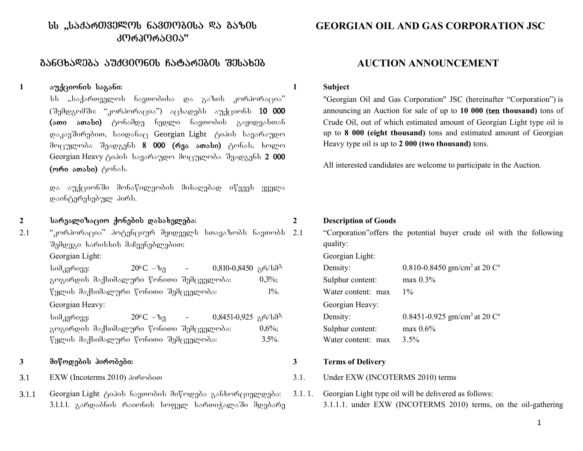# $I_{\rm bb}$  ,,საქართველოს ნავთოპისა ღა გაზის კორკორაცია"

# gancxadeba auqcionis Catarebis Sesaxeb **AUCTION ANNOUNCEMENT**

## 1 გუქციონის საგანი: **1 მოსახლეთ გარდამწე**

სს "საქართველოს ნავთობისა და გაზის კორპორაცია" (SemdgomSi: "korporacia") acxadebs auqcions 10 000 (ათი ათასი) ტონამდე ნედლი ნავთობის გაყიდვასთან დაკავშირებით, საიდანაც Georgian Light ტიპის სავარაუდო მოცულობა შეადგენს **8 000 (რვა ათასი)** ტონას, ხოლო Georgian Heavy ტიპის სავარაუდო მოცულობა შეადგენს 2 000 (moo sosbo) gmbsb.

და აუქციონში მონაწილეობის მისაღებად იწვევს ყველა დაინტერესებულ პირს.

**2** sarealizacio qonebis dasaxeleba: **2 Description of Goods**

 $2.1$  "კორპორაცია" პოტენციურ მყიდველს სთავაზობს ნავთობს  $2.1$ შემდეგი ხარისხის მაჩვენებლებით: Georgian Light: Georgian Light:

 $\frac{1}{20^6}$ C – $\frac{1}{20^6}$  - 0,810-0,8450  $\frac{1}{20}$  at 20<sup>o</sup>C – $\frac{1}{20}$  - 0.810-0,8450  $\frac{1}{20}$   $\frac{1}{20}$ გოგირდის მაქსიმალური წონითი შემცველობა:  $\qquad \qquad 0,3\%;$   $\qquad \qquad$  S  $\nabla$ ყლის მაქსიმალური  $\nabla$ ონითი შემცველობა: 1%. Water 2016 Georgian Heavy: Georgian Heavy:

 $\frac{1}{20^9 \text{ C}} - \frac{1}{20^9 \text{ C}} - \frac{1}{20^9 \text{ C}} - \frac{1}{20^9 \text{ C}} - \frac{1}{20^9 \text{ C}} - \frac{1}{20^9 \text{ C}} - \frac{1}{20^9 \text{ C}} - \frac{1}{20^9 \text{ C}} - \frac{1}{20^9 \text{ C}} - \frac{1}{20^9 \text{ C}} - \frac{1}{20^9 \text{ C}} - \frac{1}{20^9 \text{ C}} - \frac{1}{20^9 \text{ C}} - \frac{1}{20^9 \text{ C}} - \frac{1}{20^9 \$ გოგირდის მაქსიმალური წონითი შემცველობა:  $0.6\%$ ;  $\%$ ყლის მაქსიმალური წონითი შემცველობა: 3.5%.

### **3** miwodebis pirobebi: **3 Terms of Delivery**

- 
- 3.1.1 Georgian Light  $\beta$ იპის ნავთობის მიწოდება განხორციელდება: 3.1.1.1. გარდაბნის რაიონის სოფელ სართიჭალაში მდებარე

# **GEORGIAN OIL AND GAS CORPORATION JSC**

"Georgian Oil and Gas Corporation" JSC (hereinafter "Corporation") is announcing an Auction for sale of up to **10 000 (**ten **thousand)** tons of Crude Oil, out of which estimated amount of Georgian Light type oil is up to **8 000 (eight thousand)** tons and estimated amount of Georgian Heavy type oil is up to **2 000 (two thousand)** tons.

All interested candidates are welcome to participate in the Auction.

2.1 "Corporation"offers the potential buyer crude oil with the following quality:

| Density:           | 0.810-0.8450 gm/cm <sup>3</sup> at 20 $C^{\circ}$ |
|--------------------|---------------------------------------------------|
| Sulphur content:   | $max$ 0.3%                                        |
| Water content: max | $1\%$                                             |
| Georgian Heavy:    |                                                   |
| Density:           | 0.8451-0.925 gm/cm <sup>3</sup> at 20 $C^{\circ}$ |
| Sulphur content:   | $max\ 0.6\%$                                      |
| Water content: max | $3.5\%$                                           |

- 3.1 EXW (Incoterms 2010) λο το θέσκου του Β.Π. Under EXW (INCOTERMS 2010) terms
	- 3.1. 1. Georgian Light type oil will be delivered as follows: 3.1.1.1. under EXW (INCOTERMS 2010) terms, on the oil-gathering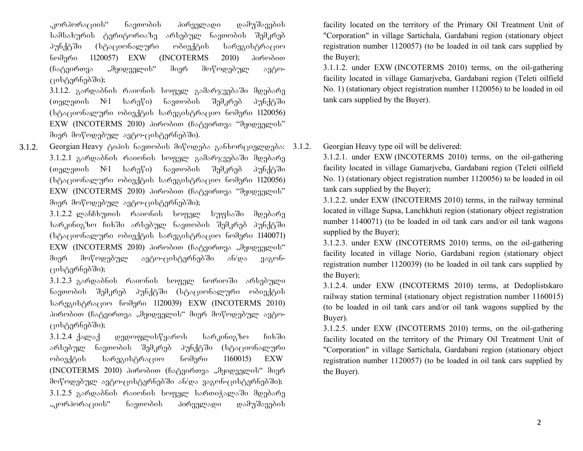,კორპორაციის" ნავთობის პირველადი დამუშავების სამსახურის ტერიტორიაზე არსებულ ნავთობის შემკრებ პუნქტში (სტაციონალური ობიექტის სარეგისტრაციო  $1120057$  EXW (INCOTERMS 2010)  $306000$ (ჩატვირთვა "მყიდველის" მიერ მოწოდებულ ავტოცისტერნებში);

3.1.1.2. გარდაბნის რაიონის სოფელ გამარჯვებაში მდებარე (თელეთის №1 სარეწი) ნავთობის შემკრებ პუნქტში (სტაციონალური ობიექტის სარეგისტრაციო ნომერი 1120056) EXW (INCOTERMS 2010) პირობით (ჩატვირთვა "მყიდველის" მიერ მოწოდებულ ავტო-ცისტერნებში).

3.1.2. Georgian Heavy Aodob bagondob do prognos gabono gongogode: 3.1.2. 3.1.2.1 გარდაბნის რაიონის სოფელ გამარჯვებაში მდებარე (თელეთის №1 სარეწი) ნავთობის შემკრებ პუნქტში (სტაციონალური ობიექტის სარეგისტრაციო ნომერი 1120056) EXW (INCOTERMS 2010) პირობით (ჩატვირთვა "მყიდველის" მიერ მოწოდებულ ავტო-ცისტერნებში);

 $3.1.2.2$  ლანჩხუთის რაიონის სოფელ სუფსაში მდებარე სარკინიგზო ჩიხში არსებულ ნავთობის შემკრებ პუნქტში (სტაციონალური ობიექტის სარეგისტრაციო ნომერი 1140071)  $EXW$  (INCOTERMS 2010) პირობით (ჩატვირთვა "მყიდველის" მიერ მოწოდებულ ავტო-ცისტერნებში ან/და ვაგონცისტერნებში);

 $3.1.2.3$  გარდაბნის რაიონის სოფელ ნორიოში არსებული ნავთობის შემკრებ პუნქტში (სტაციონალური ობიექტის bsgaregistracio 1120039) EXW (INCOTERMS 2010) პირობით (ჩატვირთვა "მყიდველის" მიერ მოწოდებულ ავტოცისტერნებში);

 $3.1.2.4$  ქალაქ — დედოფლისწყაროს — სარკინიგზო — ჩიხში არსებულ ნავთობის შემკრებ პუნქტში (სტაციონალური ობიექტის სარეგისტრაციო ნომერი  $1160015$ ) EXW  $(INCOTERMS 2010)$  პირობით (ჩატვირთვა "მყიდველის" მიერ მოწოდებულ ავტო-ცისტერნებში ან/და ვაგონ-ცისტერნებში);  $3.1.2.5$  გარდაბნის რაიონის სოფელ სართიჭალაში მდებარე "კორპორაციის" ნავთობის პირველადი დამუშავების

facility located on the territory of the Primary Oil Treatment Unit of "Corporation" in village Sartichala, Gardabani region (stationary object registration number 1120057) (to be loaded in oil tank cars supplied by the Buyer);

3.1.1.2. under EXW (INCOTERMS 2010) terms, on the oil-gathering facility located in village Gamarjveba, Gardabani region (Teleti oilfield No. 1) (stationary object registration number 1120056) to be loaded in oil tank cars supplied by the Buyer).

Georgian Heavy type oil will be delivered:

3.1.2.1. under EXW (INCOTERMS 2010) terms, on the oil-gathering facility located in village Gamarjveba, Gardabani region (Teleti oilfield No. 1) (stationary object registration number 1120056) to be loaded in oil tank cars supplied by the Buyer);

3.1.2.2. under EXW (INCOTERMS 2010) terms, in the railway terminal located in village Supsa, Lanchkhuti region (stationary object registration number 1140071) (to be loaded in oil tank cars and/or oil tank wagons supplied by the Buyer);

3.1.2.3. under EXW (INCOTERMS 2010) terms, on the oil-gathering facility located in village Norio, Gardabani region (stationary object registration number 1120039) (to be loaded in oil tank cars supplied by the Buyer);

3.1.2.4. under EXW (INCOTERMS 2010) terms, at Dedoplistskaro railway station terminal (stationary object registration number 1160015) (to be loaded in oil tank cars and/or oil tank wagons supplied by the Buyer).

3.1.2.5. under EXW (INCOTERMS 2010) terms, on the oil-gathering facility located on the territory of the Primary Oil Treatment Unit of "Corporation" in village Sartichala, Gardabani region (stationary object registration number 1120057) (to be loaded in oil tank cars supplied by the Buyer).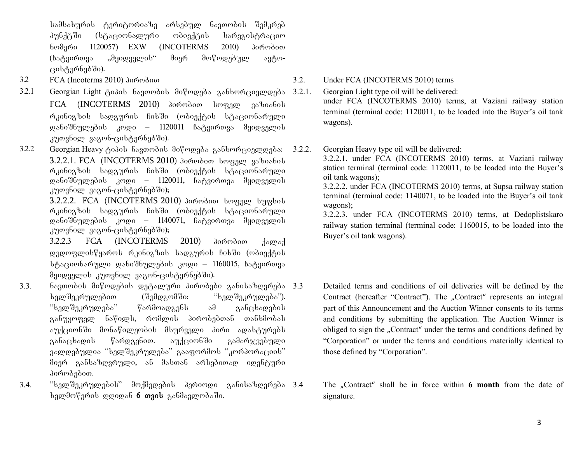სამსახურის ტერიტორიაზე არსებულ ნავთობის შემკრებ პუნქტში (სტაციონალური ობიექტის სარეგისტრაციო ნომერი 1120057) EXW (INCOTERMS 2010) პირობით (ჩატვირთვა "მყიდველის" მიერ მოწოდებულ ავტო- $(30b_0^8)$ ერნებში).

- 
- 3.2.1 Georgian Light ტიპის ნავთობის მიწოდება განხორციელდება FCA (INCOTERMS 2010) პირობით სოფელ ვაზიანის რკინიგზის სადგურის ჩიხში (ობიექტის სტაციონარული დანიშნულების კოდი – 1120011 ჩატვირთვა მყიდველის კუთვნილ ვაგონ-ცისტერნებში).
- 3.2.2 Georgian Heavy ტიპის ნავთობის მიწოდება განხორციელდება: 3.2.2.1. FCA (INCOTERMS 2010) domodoo beggge goboobob რკინიგზის სადგურის ჩიხში (ობიექტის სტაციონარული დანიშნულების კოდი – 1120011, ჩატვირთვა მყიდველის კუთვნილ ვაგონ-ცისტერნებში);

3.2.2.2. FCA (INCOTERMS 2010) domodoo beggge bygbob რკინიგზის სადგურის ჩიხში (ობიექტის სტაციონარული დანიშნულების კოდი – 1140071, ჩატვირთვა მყიდველის კუთვნილ ვაგონ-ცისტერნებში);

3.2.2.3 FCA (INCOTERMS 2010) პირობით ქალაქ დედოფლისწყაროს რკინიგზის სადგურის ჩიხში (ობიექტის სტაციონარული დანიშნულების კოდი – 1160015, ჩატვირთვა  $\partial$ ყიდველის კუთვნილ ვაგონ-ცისტერნებში).

- 3.3. navTobis miwodebis detaluri pirobebi ganisazRvreba ხელშეკრულებით (შემდგომში: "ხელშეკრულება"). "ხელშეკრულება" წარმოადგენს ამ განცხადების განუყოფელ ნაწილს, რომლის პირობებთან თანხმობას აუქციონში მონაწილეობის მსურველი პირი ადასტურებს განაცხადის წარდგენით. აუქციონში გამარჯვებული ვალდებულია "ხელშეკრულება" გააფორმოს "კორპორაციის" მიერ განსაზღვრული, ან მასთან არსებითად იდენტური პირობებით.
- $3.4.$  "ხელშეკრულების" მოქმედების პერიოდი განისაზღვრება  $3.4$  $\frac{1}{2}$ ხელმოწერის დღიდან 6 თვის განმავლობაში.

3.2 FCA (Incoterms 2010) λοιών διαφθείας του διαφθείου 3.2. Under FCA (INCOTERMS 2010) terms

3.2.1. Georgian Light type oil will be delivered: under FCA (INCOTERMS 2010) terms, at Vaziani railway station terminal (terminal code: 1120011, to be loaded into the Buyer's oil tank wagons).

3.2.2. Georgian Heavy type oil will be delivered:

3.2.2.1. under FCA (INCOTERMS 2010) terms, at Vaziani railway station terminal (terminal code: 1120011, to be loaded into the Buyer's oil tank wagons);

3.2.2.2. under FCA (INCOTERMS 2010) terms, at Supsa railway station terminal (terminal code: 1140071, to be loaded into the Buyer's oil tank wagons);

3.2.2.3. under FCA (INCOTERMS 2010) terms, at Dedoplistskaro railway station terminal (terminal code: 1160015, to be loaded into the Buyer's oil tank wagons).

Detailed terms and conditions of oil deliveries will be defined by the Contract (hereafter "Contract"). The "Contract" represents an integral part of this Announcement and the Auction Winner consents to its terms and conditions by submitting the application. The Auction Winner is obliged to sign the "Contract" under the terms and conditions defined by "Corporation" or under the terms and conditions materially identical to those defined by "Corporation".

The "Contract" shall be in force within **6 month** from the date of signature.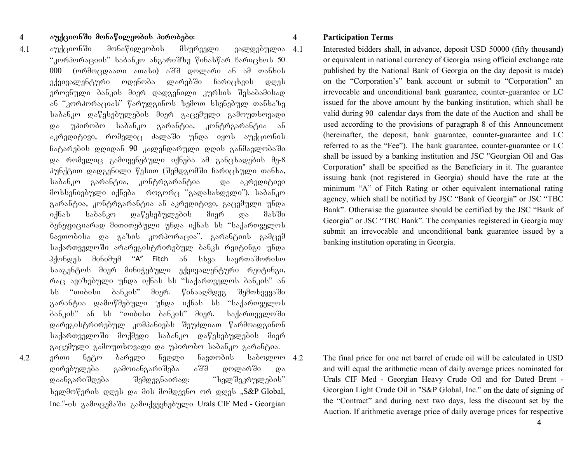### **4** auqcionSi monawileobis pirobebi: **4 Participation Terms**

4.1 აუქციონში მონაწილეობის მსურველი ვალდებულია 4.1 "კორპორაციის" საბანკო ანგარიშზე წინასწარ ჩარიცხოს 50 000 (ორმოცდაათი ათასი) აშშ დოლარი ან ამ თანხის ექვივალენტური ოდენობა ლარებში ჩარიცხვის დღეს ეროვნული ბანკის მიერ დადგენილი კურსის შესაბამისად ან "კორპორაციას" წარუდგინოს ზემოთ ხსენებულ თანხაზე საბანკო დაწესებულების მიერ გაცემული გამოუთხოვადი და უპირობო საბანკო გარანტია, კონტრგარანტია ან აკრედიტივი, რომელიც ძალაში უნდა იყოს აუქციონის  $6$ გტარების დღიდან 90 კალენდარული დღის განმავლობაში და რომელიც გამოყენებული იქნება ამ განცხადების მე-8 პუნქტით დადგენილი წესით (შემდგომში ჩარიცხული თანხა, საბანკო გარანტია, კონტრგარანტია — და აკრედიტივი მოხსენიებული იქნება როგორც "გადასახდელი"). საბანკო გარანტია, კონტრგარანტია ან აკრედიტივი, გაცემული უნდა იქნას საბანკო დაწესებულების მიერ და მასში ბენეფიციარად მითითებული უნდა იქნას სს "საქართველოს ნავთობისა და გაზის კორპორაცია". გარანტიის გამცემ საქართველოში არარეგისტრირებულ ბანკს რეიტინგი უნდა  $\partial_3$ ქონდეს მინიმუმ "A" Fitch ან სხვა საერთაშორისო სააგენტოს მიერ მინიჭებული ექვივალენტური რეიტინგი, რაც ავიზებული უნდა იქნას სს "საქართველოს ბანკის" ან სს "თიბისი ბანკის" მიერ. წინააღმდეგ შემთხვევაში გარანტია დამოწმებული უნდა იქნას სს "საქართველოს ბანკის" ან სს "თიბისი ბანკის" მიერ. საქართველოში დარეგისტრირებულ კომპანიებს შეუძლიათ წარმოადგინონ საქართველოში მოქმედი საბანკო დაწესებულების მიერ გაცემული გამოუთხოვადი და უპირობო საბანკო გარანტია.  $4.2$  ერთი ნეტო ბარელი ნედლი ნავთობის საბოლოო $4.2$ Rirebuleba gamoiangariSeba aSS dolarSi da დაანგარიშდება შემდეგნაირად: "ხელშეკრულების" ba ba do his momb bagged was dad and pay and we have separated. Inc."-ob გამოცემაში გამოქვეყნებული Urals CIF Med - Georgian

Interested bidders shall, in advance, deposit USD 50000 (fifty thousand) or equivalent in national currency of Georgia using official exchange rate published by the National Bank of Georgia on the day deposit is made) on the "Corporation's" bank account or submit to "Corporation" an irrevocable and unconditional bank guarantee, counter-guarantee or LC issued for the above amount by the banking institution, which shall be valid during 90 calendar days from the date of the Auction and shall be used according to the provisions of paragraph 8 of this Announcement (hereinafter, the deposit, bank guarantee, counter-guarantee and LC referred to as the "Fee"). The bank guarantee, counter-guarantee or LC shall be issued by a banking institution and JSC "Georgian Oil and Gas Corporation" shall be specified as the Beneficiary in it. The guarantee issuing bank (not registered in Georgia) should have the rate at the minimum "A" of Fitch Rating or other equivalent international rating agency, which shall be notified by JSC "Bank of Georgia" or JSC "TBC Bank". Otherwise the guarantee should be certified by the JSC "Bank of Georgia" or JSC "TBC Bank". The companies registered in Georgia may submit an irrevocable and unconditional bank guarantee issued by a banking institution operating in Georgia.

The final price for one net barrel of crude oil will be calculated in USD and will equal the arithmetic mean of daily average prices nominated for Urals CIF Med - Georgian Heavy Crude Oil and for Dated Brent - Georgian Light Crude Oil in "S&P Global, Inc." on the date of signing of the "Contract" and during next two days, less the discount set by the Auction. If arithmetic average price of daily average prices for respective

4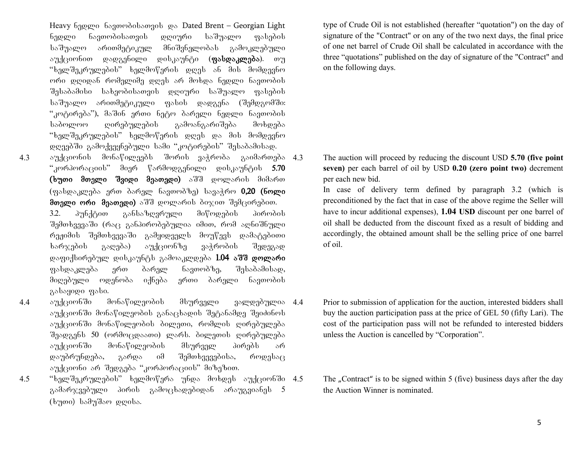Heavy 630gmo 68300060bsogob go Dated Brent – Georgian Light ნედლი ნავთობისათვის დღიური საშუალო ფასების საშუალო არითმეტიკულ მნიშვნელობას გამოკლებული აუქციონით დადგენილი დისკაუნტი (**ფასდაკლება**). თუ "ხელშეკრულების" ხელმოწერის დღეს ან მის მომდევნო ორი დღიდან რომელიმე დღეს არ მოხდა ნედლი ნავთობის შესაბამისი სახეობისათვის დღიური საშუალო ფასების საშუალო არითმეტიკული ფასის დადგენა (შემდგომში: "კოტირება"), მაშინ ერთი ნეტო ბარელი ნედლი ნავთობის საბოლოო ღირებულების გამოანგარიშება მოხდება "ხელშეკრულების" ხელმოწერის დღეს და მის მომდევნო დღეებში გამოქვეყნებული სამი "კოტირების" შესაბამისად.  $4.3$  and  $3.3$  augusta  $3.3$  augusta  $3.3$  augusta  $4.3$ 

- "კორპორაციის" მიერ წარმოდგენილი დისკაუნტის 5.70 (ხუთი მთელი შვიდი მეათედი) აშშ დოლარის მიმართ (ფასდაკლება ერთ ბარელ ნავთობზე) სავაჭრო 0,20 (ნოლი მთელი ორი მეათედი) აშშ დოლარის ბიჯით შემცირებით. 3.2. პუნქტით განსაზღვრული მიწოდების პირობის შემთხვევაში (რაც განპირობებულია იმით, რომ აღნიშნული რეჟიმის შემთხვევაში გამყიდველს მოუწევს დამატებითი ksრჯების გაღება) აუქციონზე ვაჭრობის შედეგად დაფიქსირებულ დისკაუნტს გამოაკლდება 1.04 აშშ დოლარი gsbდაკლება ერთ ბარელ ნავთობზე, შესაბამისად, მიღებული ოდენობა იქნება ერთი ბარელი ნავთობის zabayogo gabo.
- 4.4 აუქციონში მონაწილეობის მსურველი ვალდებულია 4.4 აუქციონში მონაწილეობის განაცხადის შეტანამდე შეიძინოს აუქციონში მონაწილეობის ბილეთი, რომლის ღირებულება შეადგენს 50 (ორმოცდაათი) ლარს. ბილეთის ღირებულება აუქციონში მონაწილეობის მსურველ პირებს არ დაუბრუნდება, გარდა იმ შემთხვევებისა, როდესაც აუქციონი არ შედგება "კორპორაციის" მიზეზით.
- $4.5$  "ხელშეკრულების" ხელმოწერა უნდა მოხდეს აუქციონში  $4.5$ გამარჯვებული პირის გამოცხადებიდან არაუგვიანეს 5  $(b \nmid n$ o)  $b$ ამუშაო დღისა.

type of Crude Oil is not established (hereafter "quotation") on the day of signature of the "Contract" or on any of the two next days, the final price of one net barrel of Crude Oil shall be calculated in accordance with the three "quotations" published on the day of signature of the "Contract" and on the following days.

4.3 The auction will proceed by reducing the discount USD **5.70 (five point seven)** per each barrel of oil by USD **0.20 (zero point two)** decrement per each new bid.

In case of delivery term defined by paragraph 3.2 (which is preconditioned by the fact that in case of the above regime the Seller will have to incur additional expenses), **1.04 USD** discount per one barrel of oil shall be deducted from the discount fixed as a result of bidding and accordingly, the obtained amount shall be the selling price of one barrel of oil.

- Prior to submission of application for the auction, interested bidders shall buy the auction participation pass at the price of GEL 50 (fifty Lari). The cost of the participation pass will not be refunded to interested bidders unless the Auction is cancelled by "Corporation".
- The "Contract" is to be signed within 5 (five) business days after the day the Auction Winner is nominated.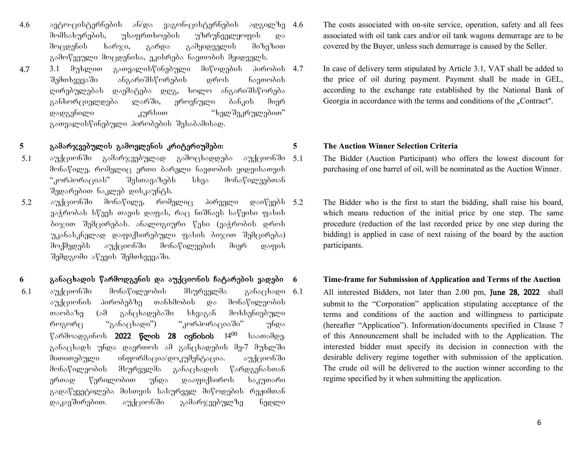- $4.6$  angressernebis and value and value and value and  $4.6$  and  $4.6$ მომსახურების, უსაფრთხოების უზრუნველყოფის და მოცდენის ხარჯი, გარდა გამყიდველის მიზეზით გამოწვეული მოცდენისა, ეკისრება ნავთობის მყიდველს.
- $4.7$  3.1 მუხლით გათვალისწინებული მიწოდების პირობის 4.7 შემთხვევაში ანგარიშსწორების დროს ნავთობის დირებულებას დაემატება დღგ, ხოლო ანგარიშსწორება განხორციელდება ლარში, ეროვნული ბანკის მიერ დადგენილი — კურსით — "ხელშეკრულებით" გათვალისწინებული პირობების შესაბამისად.

### **5** gamarjvebulis gamovlenis kriteriumebi: **5 The Auction Winner Selection Criteria**

- 5.1 აუქციონში გამარჯვებულად გამოცხადღება აუქციონში 5.1 მონაწილე, რომელიც ერთი ბარელი ნავთობის ყიდვისათვის  $\cdot$ კორპორაციას" შესთავაზებს სხვა მონაწილეებთან შედარებით ნაკლებ დისკაუნტს.
- 5.2 აუქციონში მონაწილე, რომელიც პირველი დაიწყებს 5.2  $3$ აჭრობას სწევს თავის დაფას, რაც ნიშნავს საწყისი ფასის ბიჯით შემცირებას. ანალოგიური წესი (ვაჭრობის დროს უკანასკნელად დაფიქსირებული ფასის ბიჯით შემცირება) მოქმედებს აუქციონში მონაწილეების მიერ დაფის  $\partial \overline{\partial}$   $\partial \overline{\partial}$  and  $\partial \overline{\partial}$   $\partial \overline{\partial}$  and  $\partial \overline{\partial}$  and  $\partial \overline{\partial}$  and  $\partial \overline{\partial}$  and  $\partial \overline{\partial}$  and  $\partial \overline{\partial}$

## 6 განაცხადის წარმოდგენის და აუქციონის ჩატარების ვადები 6 Time-frame for Submission of Application and Terms of the Auction

6.1 აუქციონში მონაწილეობის მსურველმა განაცხადი 6.1 აუქციონის პირობებზე თანხმობის და მონაწილეობის თაობაზე (ამ განცხადებაში სხვაგან მოხსენიებული როგორც "განაცხადი") "კორპორაციაში" უნდა  $\degree$ არმოადგინოს 2022 წლის 28 ივნისის  $14^{00}$  საათამდე. განაცხადს უნდა დაერთოს ამ განცხადების მე-7 მუხლში მითითებული ინფორმაცია/დოკუმენტაცია. აუქციონში მონაწილეობის მსურველმა განაცხადის წარდგენასთან ერთად წერილობით უნდა დააფიქსიროს საკუთარი გადაწყვეტილება მისთვის სასურველ მიწოდების რეჟიმთან დაკავშირებით. აუქციონში გამარჯვებულზე ნედლი

- The costs associated with on-site service, operation, safety and all fees associated with oil tank cars and/or oil tank wagons demurrage are to be covered by the Buyer, unless such demurrage is caused by the Seller.
- In case of delivery term stipulated by Article 3.1, VAT shall be added to the price of oil during payment. Payment shall be made in GEL, according to the exchange rate established by the National Bank of Georgia in accordance with the terms and conditions of the "Contract".

- The Bidder (Auction Participant) who offers the lowest discount for purchasing of one barrel of oil, will be nominated as the Auction Winner.
- The Bidder who is the first to start the bidding, shall raise his board, which means reduction of the initial price by one step. The same procedure (reduction of the last recorded price by one step during the bidding) is applied in case of next raising of the board by the auction participants.
- All interested Bidders, not later than 2.00 pm, June 28, 2022 shall submit to the "Corporation" application stipulating acceptance of the terms and conditions of the auction and willingness to participate (hereafter "Application"). Information/documents specified in Clause 7 of this Announcement shall be included with to the Application. The interested bidder must specify its decision in connection with the desirable delivery regime together with submission of the application. The crude oil will be delivered to the auction winner according to the regime specified by it when submitting the application.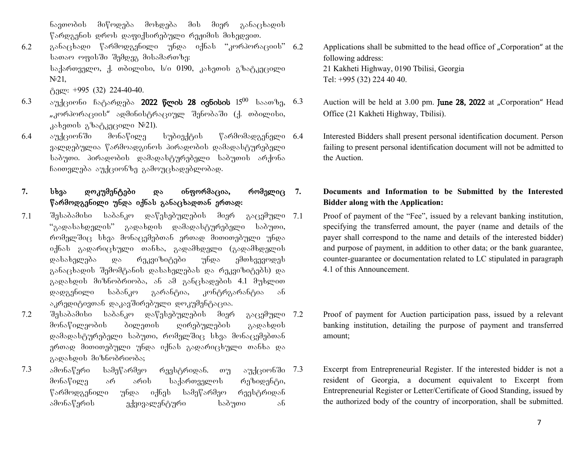ნავთობის მიწოდება მოხდება მის მიერ განაცხადის  $\%$ არდგენის დროს დაფიქსირებული რეჟიმის მიხედვით.

- $6.2$  განაცხადი წარმოდგენილი უნდა იქნას "კორპორაციის"  $6.2$  $b$ ათაო ოფისში შემდეგ მისამართზე:  $b$ sdowangen, d. wdogobo,  $b$ /o 0190, asbawob a $b$ sdangego  $N<sup>5</sup>21$ ,  $\beta$ gge: +995 (32) 224-40-40.
- 6.3 აუქციონი ჩატარდება **2022 წლის 28 ივნისის** 15<sup>00</sup> საათზე, 6.3 "კორპორაციის" ადმინისტრაციულ შენობაში (ქ. თბილისი, კახეთის გზატკეცილი  $N$ 21).
- 6.4 აუქციონში მონაწილე სუბიექტის წარმომადგენელი 6.4 ვალდებულია წარმოადგინოს პირადობის დამადასტურებელი საბუთი. პირადობის დამადასტურებელი საბუთის არქონა ჩაითვლება აუქციონზე გამოუცხადებლობად.

# 7. სხვა დოკუმენტები და ინფორმაცია, რომელიც 7.  $\nabla$ არმოდგენილი უნდა იქნას განაცხადთან ერთად:

- $7.1$  შესაბამისი საბანკო დაწესებულების მიერ გაცემული 7.1 "გადასახდელის" გადახდის დამადასტურებელი საბუთი, რომელშიც სხვა მონაცემებთან ერთად მითითებული უნდა იქნას გადარიცხული თანხა, გადამხდელი (გადამხდელის დასახელება და რეკვიზიტები უნდა ემთხვევოდეს განაცხადის შემომტანის დასახელებას და რეკვიზიტებს) და გადახდის მიზნობრიობა, ან ამ განცხადების 4.1 მუხლით დადგენილი საბანკო გარანტია, კონტრგარანტია ან აკრედიტივთან დაკავშირებული დოკუმენტაცია.
- $7.2$  შესაბამისი საბანკო დაწესებულების მიერ გაცემული 7.2 მონაწილეობის ბილეთის ღირებულების გადახდის დამადასტურებელი საბუთი, რომელშიც სხვა მონაცემებთან ერთად მითითებული უნდა იქნას გადარიცხული თანხა და გადახდის მიზნობრიობა;
- $7.3$  ამონაწერი სამეწარმეო რეესტრიდან. თუ აუქციონში  $7.3$ მონაწილე არ არის საქართველოს რეზიდენტი, წარმოდგენილი უნდა იქნეს სამეწარმეო რეესტრიდან ამონაწერის ექვივალენტური საბუთი ან
- Applications shall be submitted to the head office of "Corporation" at the following address: 21 Kakheti Highway, 0190 Tbilisi, Georgia Tel: +995 (32) 224 40 40.
- Auction will be held at 3.00 pm. June 28, 2022 at "Corporation" Head Office (21 Kakheti Highway, Tbilisi).
- 6.4 Interested Bidders shall present personal identification document. Person failing to present personal identification document will not be admitted to the Auction.

### **7. Documents and Information to be Submitted by the Interested Bidder along with the Application:**

Proof of payment of the "Fee", issued by a relevant banking institution, specifying the transferred amount, the payer (name and details of the payer shall correspond to the name and details of the interested bidder) and purpose of payment, in addition to other data; or the bank guarantee, counter-guarantee or documentation related to LC stipulated in paragraph 4.1 of this Announcement.

- Proof of payment for Auction participation pass, issued by a relevant banking institution, detailing the purpose of payment and transferred amount;
- Excerpt from Entrepreneurial Register. If the interested bidder is not a resident of Georgia, a document equivalent to Excerpt from Entrepreneurial Register or Letter/Certificate of Good Standing, issued by the authorized body of the country of incorporation, shall be submitted.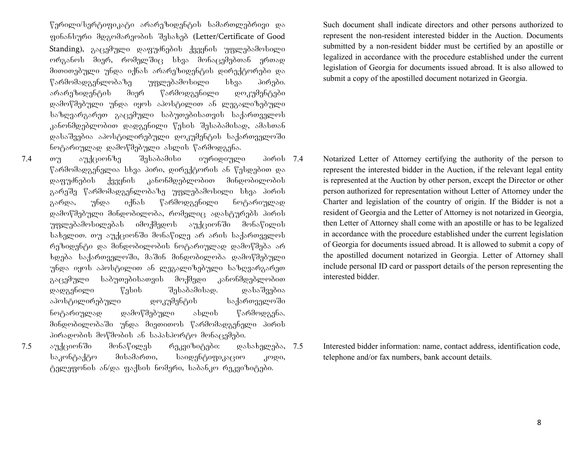$\nabla$ ერილი/სერტიფიკატი არარეზიდენტის სამართლებრივი და ფინანსური მდგომარეობის შესახებ (Letter/Certificate of Good Standing), გაცემული დაფუძნების ქვეყნის უფლებამოსილი ორგანოს მიერ, რომელშიც სხვა მონაცემებთან ერთად მითითებული უნდა იქნას არარეზიდენტის დირექტორები და  $\beta$ არმომადგენლობაზე უფლებამოსილი სხვა პირები. არარეზიდენტის მიერ წარმოდგენილი დოკუმენტები დამოწმებული უნდა იყოს აპოსტილით ან ლეგალიზებული  $\mu$ საზღვარგარეთ გაცემული საბუთებისათვის საქართველოს კანონმდებლობით დადგენილი წესის შესაბამისად, ამასთან დასაშვებია აპოსტილირებული დოკუმენტის საქართველოში ნოტარიულად დამოწმებული ასლის წარმოდგენა.

 $7.4$  თუ აუქციონზე შესაბამისი იურიდიული პირის $7.4$  $\nabla$ არმომადგენელია სხვა პირი, დირექტორის ან წესდებით და დაფუძნების ქვეყნის კანონმდებლობით მინდობილობის გარეშე წარმომადგენლობაზე უფლებამოსილი სხვა პირის გარდა, უნდა იქნას წარმოდგენილი ნოტარიულად დამოწმებული მინდობილობა, რომელიც ადასტურებს პირის უფლებამოსილებას იმოქმედოს აუქციონში მონაწილის სახელით. თუ აუქციონში მონაწილე არ არის საქართველოს რეზიდენტი და მინდობილობის ნოტარიულად დამოწმება არ ხდება საქართველოში, მაშინ მინდობილობა დამოწმებული უნდა იყოს აპოსტილით ან ლეგალიზებული საზღვარგარეთ გაცემული საბუთებისათვის მოქმედი კანონმდებლობით დადგენილი წესის შესაბამისად. დასაშვებია აპოსტილირებული დოკუმენტის საქართველოში ნოტარიულად დამოწმებული ასლის წარმოდგენა. მინდობილობაში უნდა მიეთითოს წარმომადგენელი პირის პირადობის მოწმობის ან საპასპორტო მონაცემები.

- 
- $7.5$  აუქციონში მონაწილეს რეკვიზიტები: დასახელება,  $7.5$ საკონტაქტო მისამართი, საიდენტიფიკაციო კოდი, ტელეფონის ან/და ფაქსის ნომერი, საბანკო რეკვიზიტები.

Such document shall indicate directors and other persons authorized to represent the non-resident interested bidder in the Auction. Documents submitted by a non-resident bidder must be certified by an apostille or legalized in accordance with the procedure established under the current legislation of Georgia for documents issued abroad. It is also allowed to submit a copy of the apostilled document notarized in Georgia.

7.4 Notarized Letter of Attorney certifying the authority of the person to represent the interested bidder in the Auction, if the relevant legal entity is represented at the Auction by other person, except the Director or other person authorized for representation without Letter of Attorney under the Charter and legislation of the country of origin. If the Bidder is not a resident of Georgia and the Letter of Attorney is not notarized in Georgia, then Letter of Attorney shall come with an apostille or has to be legalized in accordance with the procedure established under the current legislation of Georgia for documents issued abroad. It is allowed to submit a copy of the apostilled document notarized in Georgia. Letter of Attorney shall include personal ID card or passport details of the person representing the interested bidder.

Interested bidder information: name, contact address, identification code, telephone and/or fax numbers, bank account details.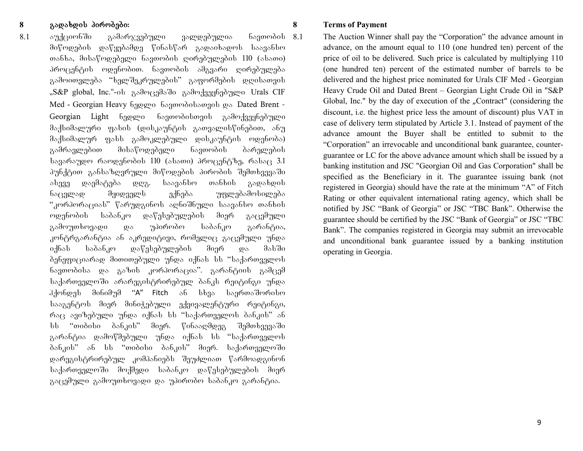**8** gadaxdis pirobebi: **8 Terms of Payment** 8.1 აუქციონში გამარჯვებული ვალდებულია ნავთობის $8.1$ მიწოდების დაწყებამდე წინასწარ გადაიხადოს საავანსო თანხა, მისაწოდებელი ნავთობის ღირებულების 110 (ასათი) პროცენტის ოდენობით. ნავთობის ამგვარი ღირებულება გამოითვლება "ხელშეკრულების" გაფორმების დღისათვის "S&P global, Inc."-ob გამოცემაში გამოქვეყნებული Urals CIF

Med - Georgian Heavy bagggo bagomoobsongob go Dated Brent -Georgian Light 6ედლი ნავთობისთვის გამოქვეყნებული  $\partial \delta$ კ $\beta$ სიმალური ფასის (დისკაუნტის გათვალისწინებით, ანუ მაქსიმალურ ფასს გამოკლებული დისკაუნტის ოდენობა) გამრავლებით მისაწოდებელი ნავთობის ბარელების  $\frac{1}{3}$  სავარაუდო რაოდენობის 110 (ასათი) პროცენტზე, რასაც 3.1 პუნქტით განსაზღვრული მიწოდების პირობის შემთხვევაში algaa waadagada wwa. laaas6loo oos6bol gawabwol ნაცვლად მყიდველს ექნება უფლებამოსილება "კორპორაციას" წარუდგინოს აღნიშნული საავანსო თანხის ოდენობის საბანკო დაწესებულების მიერ გაცემული გამოუთხოვადი და უპირობო საბანკო გარანტია, კონტრგარანტია ან აკრედიტივი, რომელიც გაცემული უნდა იქნას საბანკო დაწესებულების მიერ და მასში ბენეფიციარად მითითებული უნდა იქნას სს "საქართველოს ნავთობისა და გაზის კორპორაცია". გარანტიის გამცემ საქართველოში არარეგისტრირებულ ბანკს რეიტინგი უნდა  $\partial \partial \phi$ ერდეს მინიმუმ "A" Fitch ან სხვა საერთაშორისო სააგენტოს მიერ მინიჭებული ექვივალენტური რეიტინგი, რაც ავიზებული უნდა იქნას სს "საქართველოს ბანკის" ან სს "თიბისი ბანკის" მიერ. წინააღმდეგ შემთხვევაში გარანტია დამოწმებული უნდა იქნას სს "საქართველოს ბანკის" ან სს "თიბისი ბანკის" მიერ. საქართველოში დარეგისტრირებულ კომპანიებს შეუძლიათ წარმოადგინონ

საქართველოში მოქმედი საბანკო დაწესებულების მიერ გაცემული გამოუთხოვადი და უპირობო საბანკო გარანტია.

The Auction Winner shall pay the "Corporation" the advance amount in advance, on the amount equal to 110 (one hundred ten) percent of the price of oil to be delivered. Such price is calculated by multiplying 110 (one hundred ten) percent of the estimated number of barrels to be delivered and the highest price nominated for Urals CIF Med - Georgian Heavy Crude Oil and Dated Brent – Georgian Light Crude Oil in "S&P Global, Inc." by the day of execution of the "Contract" (considering the discount, i.e. the highest price less the amount of discount) plus VAT in case of delivery term stipulated by Article 3.1. Instead of payment of the advance amount the Buyer shall be entitled to submit to the "Corporation" an irrevocable and unconditional bank guarantee, counterguarantee or LC for the above advance amount which shall be issued by a banking institution and JSC "Georgian Oil and Gas Corporation" shall be specified as the Beneficiary in it. The guarantee issuing bank (not registered in Georgia) should have the rate at the minimum "A" of Fitch Rating or other equivalent international rating agency, which shall be notified by JSC "Bank of Georgia" or JSC "TBC Bank". Otherwise the guarantee should be certified by the JSC "Bank of Georgia" or JSC "TBC Bank". The companies registered in Georgia may submit an irrevocable and unconditional bank guarantee issued by a banking institution operating in Georgia.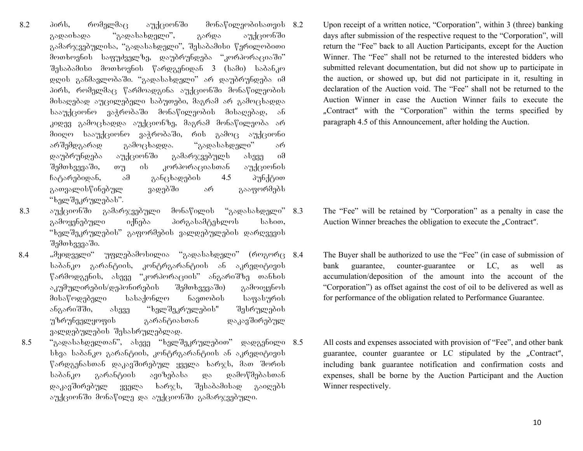$8.2$  aoრს, რომელმაც აუქციონში მონაწილეობისათვის  $8.2$ გადაიხადა "გადასახდელი", გარდა აუქციონში გამარჯვებულისა, "გადასახდელი", შესაბამისი წერილობითი მოთხოვნის საფუძველზე, დაუბრუნდება "კორპორაციაში"  $\partial_{\Omega}$ საბამისი მოთხოვნის წარდგენიდან 3 (სამი) საბანკო დღის განმავლობაში. "გადასახდელი" არ დაუბრუნდება იმ პირს, რომელმაც წარმოადგინა აუქციონში მონაწილეობის მისაღებად აუცილებელი საბუთები, მაგრამ არ გამოცხადდა სააუქციონო ვაჭრობაში მონაწილეობის მისაღებად, ან კიდევ გამოცხადდა აუქციონზე, მაგრამ მონაწილეობა არ შიიღო სააუქციონო ვაჭრობაში, რის გამოც აუქციონი არშემდგარად გამოცხადდა. "გადასახდელი" არ დაუბრუნდება აუქციონში გამარჯვებულს ასევე იმ შემთხვევაში, თუ ის კორპორაციასთან აუქციონის ჩატარებიდან, ამ განცხადების 4.5 პუნქტით გათვალისწინებულ ვადებში არ გააფორმებს "ხელშეკრულებას".

- $8.3$  and  $\beta$  and  $\gamma$  and  $\gamma$  and  $\gamma$  and  $\gamma$  and  $\gamma$  and  $\gamma$  and  $\gamma$  and  $\gamma$  and  $\gamma$  and  $\gamma$  and  $\gamma$  and  $\gamma$  and  $\gamma$  and  $\gamma$  and  $\gamma$  and  $\gamma$  and  $\gamma$  and  $\gamma$  and  $\gamma$  and  $\gamma$  and  $\gamma$  and  $\gamma$  and  $\gamma$ გამოყენებული იქნება პირგასამტეხლოს სახით, "ხელშეკრულების" გაფორმების ვალდებულების დარღვევის შემთხვევაში.
- $8.4$  ,, $\partial$ ყიდველი" უფლებამოსილია "გადასახდელი" (როგორც  $8.4$ საბანკო გარანტიის, კონტრგარანტიის ან აკრედიტივის წარმოდგენის, ასევე "კორპორაციის" ანგარიშზე თანხის აკუმულირების/დეპონირების შემთხვევაში) გამოიყენოს მისაწოდებელი სასაქონლო ნავთობის საფასურის ანგარიშში, ასევე "ხელშეკრულების" შესრულების უზრუნველყოფის გარანტიასთან დაკავშირებულ ვალდებულების შესასრულებლად.
- $8.5$  "გადასახდელთან", ასევე "ხელშეკრულებით" დადგენილი  $8.5$ სხვა საბანკო გარანტიის, კონტრგარანტიის ან აკრედიტივის  $\beta$ არდგენასთან დაკავშირებულ ყველა ხარჯს, მათ შორის საბანკო გარანტიის ავიზებასა და დამოწმებასთან დაკავშირებულ ყველა ხარჯ $\mathbf{b}$ , შესაბამისად გაიღებს აუქციონში მონაწილე და აუქციონში გამარჯვებული.

Upon receipt of a written notice, "Corporation", within 3 (three) banking days after submission of the respective request to the "Corporation", will return the "Fee" back to all Auction Participants, except for the Auction Winner. The "Fee" shall not be returned to the interested bidders who submitted relevant documentation, but did not show up to participate in the auction, or showed up, but did not participate in it, resulting in declaration of the Auction void. The "Fee" shall not be returned to the Auction Winner in case the Auction Winner fails to execute the "Contract" with the "Corporation" within the terms specified by paragraph 4.5 of this Announcement, after holding the Auction.

- The "Fee" will be retained by "Corporation" as a penalty in case the Auction Winner breaches the obligation to execute the "Contract".
- The Buyer shall be authorized to use the "Fee" (in case of submission of bank guarantee, counter-guarantee or LC, as well as accumulation/deposition of the amount into the account of the "Corporation") as offset against the cost of oil to be delivered as well as for performance of the obligation related to Performance Guarantee.
- All costs and expenses associated with provision of "Fee", and other bank guarantee, counter guarantee or LC stipulated by the "Contract", including bank guarantee notification and confirmation costs and expenses, shall be borne by the Auction Participant and the Auction Winner respectively.